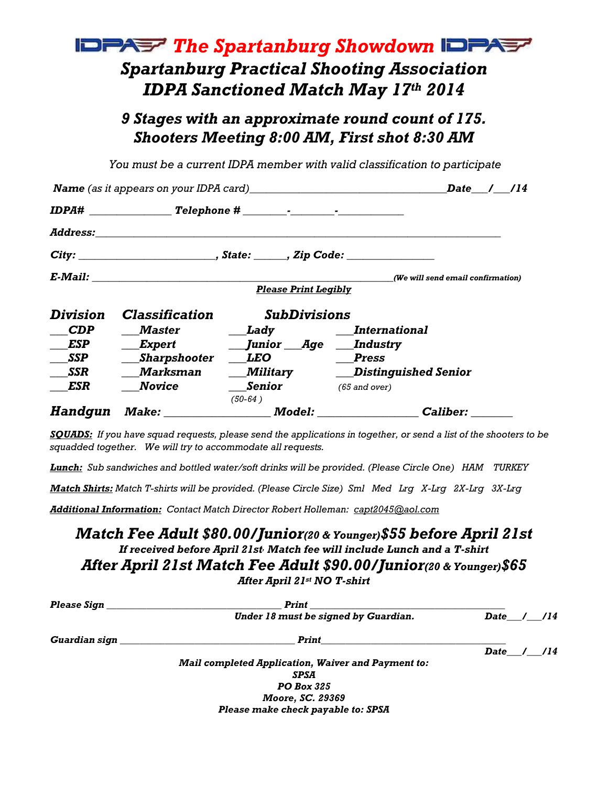## **IDPAST** The Spartanburg Showdown **IDPAST** Spartanburg Practical Shooting Association **IDPA Sanctioned Match May 17th 2014**

## 9 Stages with an approximate round count of 175. Shooters Meeting 8:00 AM, First shot 8:30 AM

You must be a current IDPA member with valid classification to participate

|                | <b>Name</b> (as it appears on your IDPA card)                                                                                                                                                                                  |                             |                                                                                                                                                                                                                                                               |  |  |
|----------------|--------------------------------------------------------------------------------------------------------------------------------------------------------------------------------------------------------------------------------|-----------------------------|---------------------------------------------------------------------------------------------------------------------------------------------------------------------------------------------------------------------------------------------------------------|--|--|
|                |                                                                                                                                                                                                                                |                             |                                                                                                                                                                                                                                                               |  |  |
|                | Address: Andreas Address: Address: Address: Address: Address: Address: Address: Address: Address: Address: Address: Address: Address: Address: Address: Address: Address: Address: Address: Address: Address: Address: Address |                             |                                                                                                                                                                                                                                                               |  |  |
|                |                                                                                                                                                                                                                                |                             |                                                                                                                                                                                                                                                               |  |  |
|                |                                                                                                                                                                                                                                |                             | (We will send email confirmation)                                                                                                                                                                                                                             |  |  |
|                |                                                                                                                                                                                                                                | <b>Please Print Legibly</b> |                                                                                                                                                                                                                                                               |  |  |
| Division       | <b>Classification</b>                                                                                                                                                                                                          | <b>SubDivisions</b>         |                                                                                                                                                                                                                                                               |  |  |
| <b>CDP</b>     | Master                                                                                                                                                                                                                         |                             | Lady International                                                                                                                                                                                                                                            |  |  |
| ESP            | Expert                                                                                                                                                                                                                         | Junior Age Industry         |                                                                                                                                                                                                                                                               |  |  |
| <b>SSP</b>     | _Sharpshooter                                                                                                                                                                                                                  | LEO                         | Press                                                                                                                                                                                                                                                         |  |  |
| <b>SSR</b>     | <b>Marksman</b>                                                                                                                                                                                                                | Military                    | <b>Distinguished Senior</b>                                                                                                                                                                                                                                   |  |  |
| ESR            | Novice                                                                                                                                                                                                                         | Senior                      | $(65$ and over)                                                                                                                                                                                                                                               |  |  |
|                |                                                                                                                                                                                                                                | (50-64)                     |                                                                                                                                                                                                                                                               |  |  |
| <b>Handqun</b> |                                                                                                                                                                                                                                |                             | <i>Model:</i> Analyze the Model of the Second Second Second Second Second Second Second Second Second Second Second Second Second Second Second Second Second Second Second Second Second Second Second Second Second Second Second<br><i><b>Caliber:</b></i> |  |  |

SQUADS: If you have squad requests, please send the applications in together, or send a list of the shooters to be squadded together. We will try to accommodate all requests.

Lunch: Sub sandwiches and bottled water/soft drinks will be provided. (Please Circle One) HAM TURKEY

Match Shirts: Match T-shirts will be provided. (Please Circle Size) Sml Med Lrg X-Lrg 2X-Lrg 3X-Lrg

Additional Information: Contact Match Director Robert Holleman: capt2045@aol.com

## Match Fee Adult \$80.00/Junior(20 & Younger)\$55 before April 21st If received before April 21st<sub>'</sub> Match fee will include Lunch and a T-shirt After April 21st Match Fee Adult \$90.00/Junior(20 & Younger)\$65 After April 21st NO T-shirt

| Please Sign   | Print                                                     |              |  |
|---------------|-----------------------------------------------------------|--------------|--|
|               | Under 18 must be signed by Guardian.                      | Date / /14   |  |
| Guardian sign | Print                                                     |              |  |
|               |                                                           | Date $/$ /14 |  |
|               | <b>Mail completed Application, Waiver and Payment to:</b> |              |  |
|               | <b>SPSA</b>                                               |              |  |
|               | <b>PO Box 325</b>                                         |              |  |
|               | Moore, SC. 29369                                          |              |  |
|               | Please make check payable to: SPSA                        |              |  |